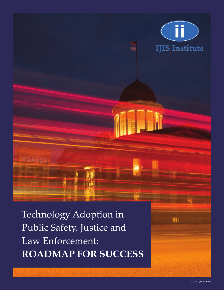

Technology Adoption in Public Safety, Justice and Law Enforcement: **ROADMAP FOR SUCCESS**

WH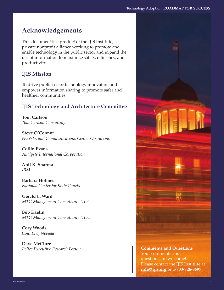# **Acknowledgements**

This document is a product of the IJIS Institute; a private nonprofit alliance working to promote and enable technology in the public sector and expand the use of information to maximize safety, efficiency, and productivity.

# **IJIS Mission**

To drive public sector technology innovation and empower information sharing to promote safer and healthier communities.

# **IJIS Technology and Architecture Committee**

**Tom Carlson** *Tom Carlson Consulting*

**Steve O'Connor** *NG9-1-1and Communications Center Operations*

**Collin Evans** *Analysts International Corporation*

**Anil K. Sharma**  *IBM*

**Barbara Holmes** *National Center for State Courts*

**Gerald L. Ward** *MTG Management Consultants L.L.C.*

**Bob Kaelin** *MTG Management Consultants L.L.C.*

**Cory Woods** *County of Nevada*

**Dave McClure** *Police Executive Research Forum* **Comments and Questions** 



Your comments and questions are welcome! Please contact the IJIS Institute at **info@ijis.org** or **1-703-726-3697**.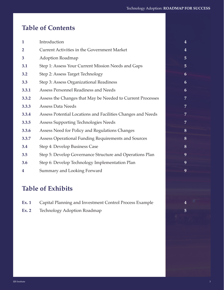# **Table of Contents**

| $\mathbf{1}$   | Introduction                                                | $\overline{4}$ |
|----------------|-------------------------------------------------------------|----------------|
| $\overline{2}$ | Current Activities in the Government Market                 | $\overline{4}$ |
| 3              | <b>Adoption Roadmap</b>                                     | 5              |
| 3.1            | Step 1: Assess Your Current Mission Needs and Gaps          | 5              |
| 3.2            | Step 2: Assess Target Technology                            | 6              |
| 3.3            | Step 3: Assess Organizational Readiness                     | 6              |
| 3.3.1          | Assess Personnel Readiness and Needs                        | 6              |
| 3.3.2          | Assess the Changes that May be Needed to Current Processes  | 7              |
| 3.3.3          | <b>Assess Data Needs</b>                                    | $\overline{7}$ |
| 3.3.4          | Assess Potential Locations and Facilities Changes and Needs | 7              |
| 3.3.5          | Assess Supporting Technologies Needs                        | 7              |
| 3.3.6          | Assess Need for Policy and Regulations Changes              | 8              |
| 3.3.7          | Assess Operational Funding Requirements and Sources         | 8              |
| 3.4            | Step 4: Develop Business Case                               | 8              |
| 3.5            | Step 5: Develop Governance Structure and Operations Plan    | 9              |
| 3.6            | Step 6: Develop Technology Implementation Plan              | 9              |
| 4              | Summary and Looking Forward                                 | 9              |
|                |                                                             |                |

# **Table of Exhibits**

- **Ex. 1** Capital Planning and Investment Control Process Example **4**
- **Ex. 2** Technology Adoption Roadmap **5**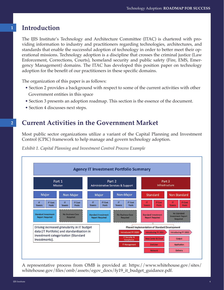# **Introduction**

The IJIS Institute's Technology and Architecture Committee (ITAC) is chartered with providing information to industry and practitioners regarding technologies, architectures, and standards that enable the successful adoption of technology in order to better meet their operational missions. Technology adoption is a discipline that crosses the criminal justice (Law Enforcement, Corrections, Courts), homeland security and public safety (Fire, EMS, Emergency Management) domains. The ITAC has developed this position paper on technology adoption for the benefit of our practitioners in these specific domains.

The organization of this paper is as follows:

- Section 2 provides a background with respect to some of the current activities with other Government entities in this space
- Section 3 presents an adoption roadmap. This section is the essence of the document.
- Section 4 discusses next steps.

# **Current Activities in the Government Market**

Most public sector organizations utilize a variant of the Capital Planning and Investment Control (CPIC) framework to help manage and govern technology adoption.

*Exhibit 1. Capital Planning and Investment Control Process Example*



A representative process from OMB is provided at: https://www.whitehouse.gov/sites/ whitehouse.gov/files/omb/assets/egov\_docs/fy19\_it\_budget\_guidance.pdf.

**1**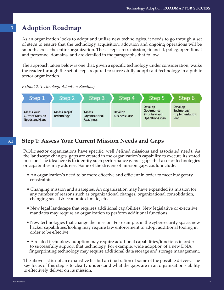# **Adoption Roadmap**

As an organization looks to adopt and utilize new technologies, it needs to go through a set of steps to ensure that the technology acquisition, adoption and ongoing operations will be smooth across the entire organization. These steps cross mission, financial, policy, operational and personnel domains, and are detailed in the paragraphs that follow.

The approach taken below is one that, given a specific technology under consideration, walks the reader through the set of steps required to successfully adopt said technology in a public sector organization.





# **Step 1: Assess Your Current Mission Needs and Gaps**

Public sector organizations have specific, well defined missions and associated needs. As the landscape changes, gaps are created in the organization's capability to execute its stated mission. The idea here is to identify such performance gaps – gaps that a set of technologies or capabilities may address. Some of the drivers of mission gaps could include:

- An organization's need to be more effective and efficient in order to meet budgetary constraints.
- Changing mission and strategies. An organization may have expanded its mission for any number of reasons such as organizational changes, organizational consolidation, changing social & economic climate, etc.
- New legal landscape that requires additional capabilities. New legislative or executive mandates may require an organization to perform additional functions.
- New technologies that change the mission. For example, in the cybersecurity space, new hacker capabilities/tooling may require law enforcement to adopt additional tooling in order to be effective.
- A related technology adoption may require additional capabilities/functions in order to successfully support that technology. For example, wide adoption of a new DNA fingerprinting technology may require additional data storage and storage management.

The above list is not an exhaustive list but an illustration of some of the possible drivers. The key focus of this step is to clearly understand what the gaps are in an organization's ability to effectively deliver on its mission.

**3**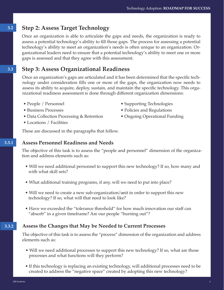# **3.2 Step 2: Assess Target Technology**

Once an organization is able to articulate the gaps and needs, the organization is ready to assess a potential technology's ability to fill those gaps. The process for assessing a potential technology's ability to meet an organization's needs is often unique to an organization. Organizational leaders need to ensure that a potential technology's ability to meet one or more gaps is assessed and that they agree with this assessment.

## **Step 3: Assess Organizational Readiness**

Once an organization's gaps are articulated and it has been determined that the specific technology under consideration fills one or more of the gaps, the organization now needs to assess its ability to acquire, deploy, sustain, and maintain the specific technology. This organizational readiness assessment is done through different organization dimensions:

- People / Personnel
- Business Processes
- Data Collection Processing & Retention
- Locations / Facilities
- Supporting Technologies
- Policies and Regulations
- Ongoing Operational Funding

These are discussed in the paragraphs that follow.

#### **Assess Personnel Readiness and Needs**

The objective of this task is to assess the "people and personnel" dimension of the organization and address elements such as:

- Will we need additional personnel to support this new technology? If so, how many and with what skill sets?
- What additional training programs, if any, will we need to put into place?
- Will we need to create a new sub-organization/unit in order to support this new technology? If so, what will that need to look like?
- Have we exceeded the "tolerance threshold" for how much innovation our staff can "absorb" in a given timeframe? Are our people "burning out"?

### **3.3.2 Assess the Changes that May be Needed to Current Processes**

The objective of this task is to assess the "process" dimension of the organization and address elements such as:

- Will we need additional processes to support this new technology? If so, what are those processes and what functions will they perform?
- If this technology is replacing an existing technology, will additional processes need to be created to address the "negative space" created by adopting this new technology?

**3.3**

**3.3.1**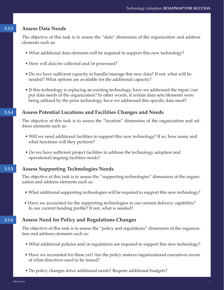#### **3.3.3 Assess Data Needs**

The objective of this task is to assess the "data" dimension of the organization and address elements such as:

- What additional data elements will be required to support this new technology?
- How will data be collected and/or processed?
- Do we have sufficient capacity to handle/manage this new data? If not, what will be needed? What options are available for the additional capacity?
- If this technology is replacing an existing technology, have we addressed the input/out put data needs of the organization? In other words, if certain data sets/elements were being utilized by the prior technology, have we addressed this specific data need?

### **3.3.4 Assess Potential Locations and Facilities Changes and Needs**

The objective of this task is to assess the "location" dimension of the organization and address elements such as:

- Will we need additional facilities to support this new technology? If so, how many and what functions will they perform?
- Do we have sufficient project facilities to address the technology adoption and operational/ongoing facilities needs?

### **3.3.5 Assess Supporting Technologies Needs**

The objective of this task is to assess the "supporting technologies" dimension of the organization and address elements such as:

- What additional supporting technologies will be required to support this new technology?
- Have we accounted for the supporting technologies in our current delivery capability? In our current funding profile? If not, what is needed?

### **3.3.6 Assess Need for Policy and Regulations Changes**

The objective of this task is to assess the "policy and regulations" dimension of the organization and address elements such as:

- What additional policies and/or regulations are required to support this new technology?
- Have we accounted for these yet? Are the policy makers/organizational executives aware of what directives need to be issued?
- Do policy changes drive additional needs? Require additional budgets?

IJIS Institute and the contract of the contract of the contract of the contract of the contract of the contract of the contract of the contract of the contract of the contract of the contract of the contract of the contrac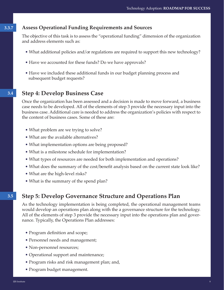### **3.3.7 Assess Operational Funding Requirements and Sources**

The objective of this task is to assess the "operational funding" dimension of the organization and address elements such as:

- What additional policies and/or regulations are required to support this new technology?
- Have we accounted for these funds? Do we have approvals?
- Have we included these additional funds in our budget planning process and subsequent budget requests?

# **3.4 Step 4: Develop Business Case**

Once the organization has been assessed and a decision is made to move forward, a business case needs to be developed. All of the elements of step 3 provide the necessary input into the business case. Additional care is needed to address the organization's policies with respect to the content of business cases. Some of these are:

- What problem are we trying to solve?
- What are the available alternatives?
- What implementation options are being proposed?
- What is a milestone schedule for implementation?
- What types of resources are needed for both implementation and operations?
- What does the summary of the cost/benefit analysis based on the current state look like?
- What are the high-level risks?
- What is the summary of the spend plan?

# **3.5 Step 5: Develop Governance Structure and Operations Plan**

As the technology implementation is being completed, the operational management teams would develop an operations plan along with the a governance structure for the technology. All of the elements of step 3 provide the necessary input into the operations plan and governance. Typically, the Operations Plan addresses:

- Program definition and scope;
- Personnel needs and management;
- Non-personnel resources;
- Operational support and maintenance;
- Program risks and risk management plan; and,
- Program budget management.